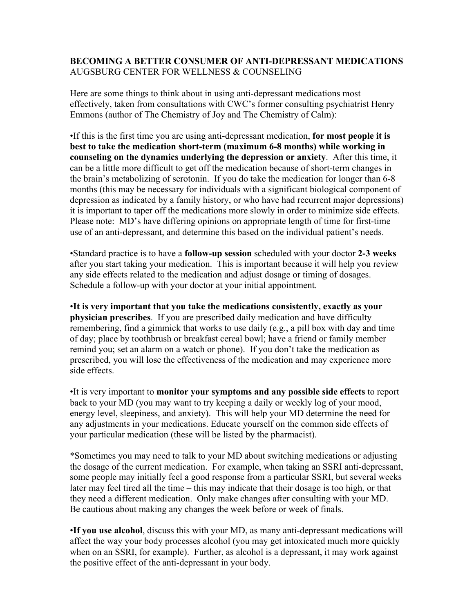## **BECOMING A BETTER CONSUMER OF ANTI-DEPRESSANT MEDICATIONS** AUGSBURG CENTER FOR WELLNESS & COUNSELING

Here are some things to think about in using anti-depressant medications most effectively, taken from consultations with CWC's former consulting psychiatrist Henry Emmons (author of The Chemistry of Joy and The Chemistry of Calm):

•If this is the first time you are using anti-depressant medication, **for most people it is best to take the medication short-term (maximum 6-8 months) while working in counseling on the dynamics underlying the depression or anxiety**. After this time, it can be a little more difficult to get off the medication because of short-term changes in the brain's metabolizing of serotonin. If you do take the medication for longer than 6-8 months (this may be necessary for individuals with a significant biological component of depression as indicated by a family history, or who have had recurrent major depressions) it is important to taper off the medications more slowly in order to minimize side effects. Please note: MD's have differing opinions on appropriate length of time for first-time use of an anti-depressant, and determine this based on the individual patient's needs.

•Standard practice is to have a **follow-up session** scheduled with your doctor **2-3 weeks** after you start taking your medication. This is important because it will help you review any side effects related to the medication and adjust dosage or timing of dosages. Schedule a follow-up with your doctor at your initial appointment.

•**It is very important that you take the medications consistently, exactly as your physician prescribes**. If you are prescribed daily medication and have difficulty remembering, find a gimmick that works to use daily (e.g., a pill box with day and time of day; place by toothbrush or breakfast cereal bowl; have a friend or family member remind you; set an alarm on a watch or phone). If you don't take the medication as prescribed, you will lose the effectiveness of the medication and may experience more side effects.

•It is very important to **monitor your symptoms and any possible side effects** to report back to your MD (you may want to try keeping a daily or weekly log of your mood, energy level, sleepiness, and anxiety). This will help your MD determine the need for any adjustments in your medications. Educate yourself on the common side effects of your particular medication (these will be listed by the pharmacist).

\*Sometimes you may need to talk to your MD about switching medications or adjusting the dosage of the current medication. For example, when taking an SSRI anti-depressant, some people may initially feel a good response from a particular SSRI, but several weeks later may feel tired all the time – this may indicate that their dosage is too high, or that they need a different medication. Only make changes after consulting with your MD. Be cautious about making any changes the week before or week of finals.

•**If you use alcohol**, discuss this with your MD, as many anti-depressant medications will affect the way your body processes alcohol (you may get intoxicated much more quickly when on an SSRI, for example). Further, as alcohol is a depressant, it may work against the positive effect of the anti-depressant in your body.